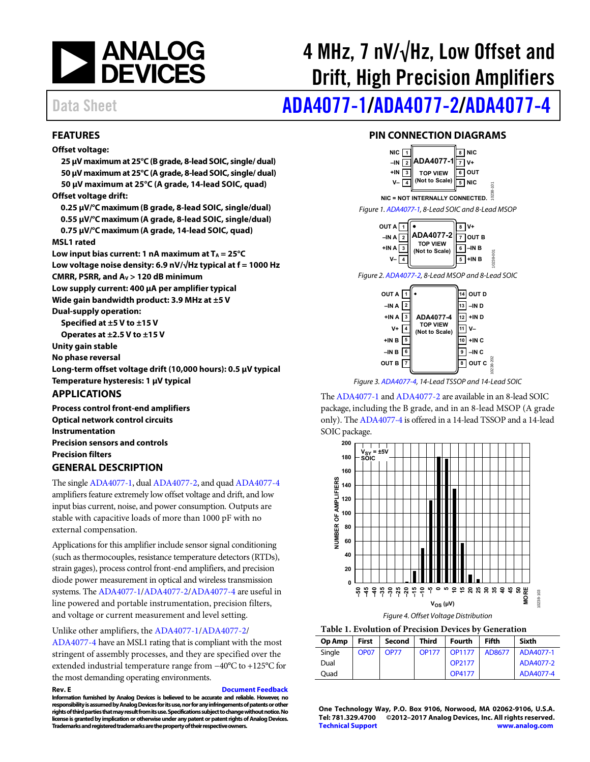

# 4 MHz, 7 nV/√Hz, Low Offset and Drift, High Precision Amplifiers

# Data Sheet **[ADA4077-1](http://www.analog.com/ADA4077-1?doc=ADA4077-1_4077-2_4077-4.pdf)[/ADA4077-2/](http://www.analog.com/ADA4077-2?doc=ADA4077-1_4077-2_4077-4.pdf)[ADA4077-4](http://www.analog.com/ADA4077-4?doc=ADA4077-1_4077-2_4077-4.pdf)**

### <span id="page-0-0"></span>**FEATURES**

#### **Offset voltage:**

**25 μV maximum at 25°C (B grade, 8-lead SOIC, single/ dual) 50 μV maximum at 25°C (A grade, 8-lead SOIC, single/ dual) 50 μV maximum at 25°C (A grade, 14-lead SOIC, quad) Offset voltage drift: 0.25 μV/°C maximum (B grade, 8-lead SOIC, single/dual) 0.55 μV/°C maximum (A grade, 8-lead SOIC, single/dual) 0.75 μV/°C maximum (A grade, 14-lead SOIC, quad) MSL1 rated**  Low input bias current: 1 nA maximum at  $T_A = 25^{\circ}C$ **Low voltage noise density: 6.9 nV/√Hz typical at f = 1000 Hz CMRR, PSRR, and AV > 120 dB minimum Low supply current: 400 μA per amplifier typical Wide gain bandwidth product: 3.9 MHz at ±5 V Dual-supply operation: Specified at ±5 V to ±15 V Operates at ±2.5 V to ±15 V Unity gain stable No phase reversal Long-term offset voltage drift (10,000 hours): 0.5 μV typical Temperature hysteresis: 1 μV typical APPLICATIONS** 

<span id="page-0-1"></span>**Process control front-end amplifiers Optical network control circuits Instrumentation Precision sensors and controls Precision filters** 

### <span id="page-0-2"></span>**GENERAL DESCRIPTION**

The singl[e ADA4077-1,](http://www.analog.com/ADA4077-1?doc=ADA4077-1_4077-2_4077-4.pdf) dua[l ADA4077-2,](http://www.analog.com/ADA4077-2?doc=ADA4077-1_4077-2_4077-4.pdf) and qua[d ADA4077-4](http://www.analog.com/ADA4077-4?doc=ADA4077-1_4077-2_4077-4.pdf) amplifiers feature extremely low offset voltage and drift, and low input bias current, noise, and power consumption. Outputs are stable with capacitive loads of more than 1000 pF with no external compensation.

Applications for this amplifier include sensor signal conditioning (such as thermocouples, resistance temperature detectors (RTDs), strain gages), process control front-end amplifiers, and precision diode power measurement in optical and wireless transmission systems. Th[e ADA4077-1/](http://www.analog.com/ADA4077-1?doc=ADA4077-1_4077-2_4077-4.pdf)[ADA4077-2/](http://www.analog.com/ADA4077-2?doc=ADA4077-1_4077-2_4077-4.pdf)[ADA4077-4 a](http://www.analog.com/ADA4077-4?doc=ADA4077-1_4077-2_4077-4.pdf)re useful in line powered and portable instrumentation, precision filters, and voltage or current measurement and level setting.

Unlike other amplifiers, th[e ADA4077-1](http://www.analog.com/ADA4077-1?doc=ADA4077-1_4077-2_4077-4.pdf)[/ADA4077-2/](http://www.analog.com/ADA4077-2?doc=ADA4077-1_4077-2_4077-4.pdf) [ADA4077-4](http://www.analog.com/ADA4077-4?doc=ADA4077-1_4077-2_4077-4.pdf) have an MSL1 rating that is compliant with the most stringent of assembly processes, and they are specified over the extended industrial temperature range from −40°C to +125°C for the most demanding operating environments.

**Rev. E [Document Feedback](https://form.analog.com/Form_Pages/feedback/documentfeedback.aspx?doc=ADA4077-1_4077-2_4077-4.pdf&product=ADA4077-1%20ADA4077-2%20ADA4077-4&rev=E)  Information furnished by Analog Devices is believed to be accurate and reliable. However, no responsibility is assumed by Analog Devices for its use, nor for any infringements of patents or other rights of third parties that may result from its use. Specifications subject to change without notice. No license is granted by implication or otherwise under any patent or patent rights of Analog Devices. Trademarks and registered trademarks are the property of their respective owners.** 

### **PIN CONNECTION DIAGRAMS**

<span id="page-0-3"></span>

Figure 2[. ADA4077-2,](http://www.analog.com/ADA4077-2?doc=ADA4077-1_4077-2_4077-4.pdf) 8-Lead MSOP and 8-Lead SOIC



Figure 3[. ADA4077-4,](http://www.analog.com/ADA4077-4?doc=ADA4077-1_4077-2_4077-4.pdf) 14-Lead TSSOP and 14-Lead SOIC

Th[e ADA4077-1 a](http://www.analog.com/ADA4077-1?doc=ADA4077-1_4077-2_4077-4.pdf)n[d ADA4077-2](http://www.analog.com/ADA4077-2?doc=ADA4077-1_4077-2_4077-4.pdf) are available in an 8-lead SOIC package, including the B grade, and in an 8-lead MSOP (A grade only). Th[e ADA4077-4 i](http://www.analog.com/ADA4077-4?doc=ADA4077-1_4077-2_4077-4.pdf)s offered in a 14-lead TSSOP and a 14-lead SOIC package.



**Table 1. Evolution of Precision Devices by Generation** 

| Op Amp | <b>First</b>     | Second      | <b>Third</b> | <b>Fourth</b>      | <b>Fifth</b> | Sixth     |
|--------|------------------|-------------|--------------|--------------------|--------------|-----------|
| Single | OP <sub>07</sub> | <b>OP77</b> | <b>OP177</b> | <b>OP1177</b>      | AD8677       | ADA4077-1 |
| Dual   |                  |             |              | OP <sub>2177</sub> |              | ADA4077-2 |
| Ouad   |                  |             |              | <b>OP4177</b>      |              | ADA4077-4 |

**One Technology Way, P.O. Box 9106, Norwood, MA 02062-9106, U.S.A. Tel: 781.329.4700 ©2012–2017 Analog Devices, Inc. All rights reserved. [Technical Support](http://www.analog.com/en/content/technical_support_page/fca.html) [www.analog.com](http://www.analog.com/)**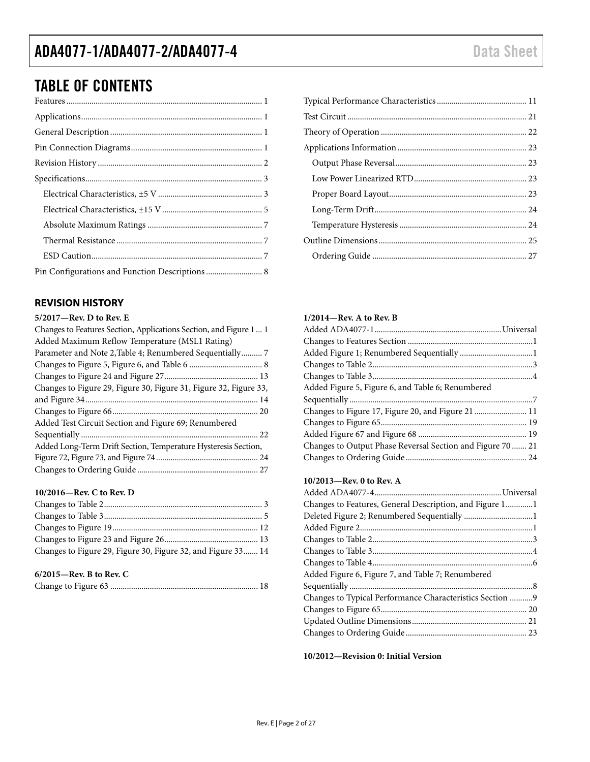# TABLE OF CONTENTS

| Pin Configurations and Function Descriptions  8 |  |
|-------------------------------------------------|--|

### <span id="page-1-0"></span>**REVISION HISTORY**

### **5/2017—Rev. D to Rev. E**

| Changes to Features Section, Applications Section, and Figure 1 1 |
|-------------------------------------------------------------------|
| Added Maximum Reflow Temperature (MSL1 Rating)                    |
|                                                                   |
|                                                                   |
|                                                                   |
| Changes to Figure 29, Figure 30, Figure 31, Figure 32, Figure 33, |
|                                                                   |
|                                                                   |
| Added Test Circuit Section and Figure 69; Renumbered              |
|                                                                   |
| Added Long-Term Drift Section, Temperature Hysteresis Section,    |
|                                                                   |
|                                                                   |

### **10/2016—Rev. C to Rev. D**

| Changes to Figure 29, Figure 30, Figure 32, and Figure 33 14 |  |
|--------------------------------------------------------------|--|
|                                                              |  |

### **6/2015—Rev. B to Rev. C**

|--|--|

### **1/2014—Rev. A to Rev. B**

| Added Figure 5, Figure 6, and Table 6; Renumbered          |  |
|------------------------------------------------------------|--|
|                                                            |  |
| Changes to Figure 17, Figure 20, and Figure 21  11         |  |
|                                                            |  |
|                                                            |  |
|                                                            |  |
| Changes to Output Phase Reversal Section and Figure 70  21 |  |

### **10/2013—Rev. 0 to Rev. A**

| Changes to Features, General Description, and Figure 11  |  |
|----------------------------------------------------------|--|
|                                                          |  |
|                                                          |  |
|                                                          |  |
|                                                          |  |
|                                                          |  |
| Added Figure 6, Figure 7, and Table 7; Renumbered        |  |
|                                                          |  |
| Changes to Typical Performance Characteristics Section 9 |  |
|                                                          |  |
|                                                          |  |
|                                                          |  |
|                                                          |  |

**10/2012—Revision 0: Initial Version**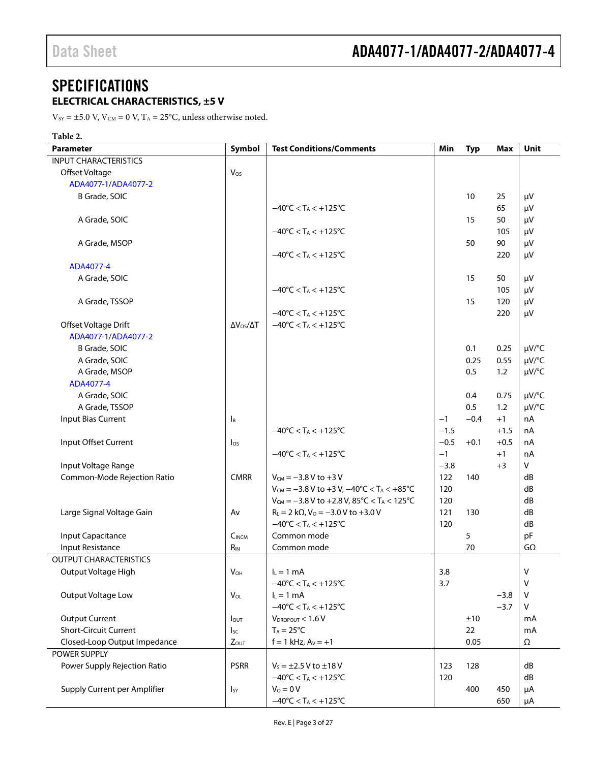### <span id="page-2-0"></span>**SPECIFICATIONS ELECTRICAL CHARACTERISTICS, ±5 V**

<span id="page-2-1"></span> $\rm V_{\rm SY}$  = ±5.0 V, V $\rm _{CM}$  = 0 V, T $\rm_A$  = 25°C, unless otherwise noted.

| Table 2.                      |                          |                                                                                                             |        |            |        |              |
|-------------------------------|--------------------------|-------------------------------------------------------------------------------------------------------------|--------|------------|--------|--------------|
| <b>Parameter</b>              | Symbol                   | <b>Test Conditions/Comments</b>                                                                             | Min    | <b>Typ</b> | Max    | Unit         |
| <b>INPUT CHARACTERISTICS</b>  |                          |                                                                                                             |        |            |        |              |
| Offset Voltage                | Vos                      |                                                                                                             |        |            |        |              |
| ADA4077-1/ADA4077-2           |                          |                                                                                                             |        |            |        |              |
| B Grade, SOIC                 |                          |                                                                                                             |        | 10         | 25     | μV           |
|                               |                          | $-40^{\circ}$ C < T <sub>A</sub> < $+125^{\circ}$ C                                                         |        |            | 65     | $\mu$ V      |
| A Grade, SOIC                 |                          |                                                                                                             |        | 15         | 50     | $\mu$ V      |
|                               |                          | $-40^{\circ}$ C < T <sub>A</sub> < $+125^{\circ}$ C                                                         |        |            | 105    | $\mu$ V      |
| A Grade, MSOP                 |                          |                                                                                                             |        | 50         | 90     | $\mu$ V      |
|                               |                          | $-40^{\circ}$ C < T <sub>A</sub> < $+125^{\circ}$ C                                                         |        |            | 220    | $\mu$ V      |
| ADA4077-4                     |                          |                                                                                                             |        |            |        |              |
| A Grade, SOIC                 |                          |                                                                                                             |        | 15         | 50     | $\mu V$      |
|                               |                          | $-40^{\circ}$ C < T <sub>A</sub> < $+125^{\circ}$ C                                                         |        |            | 105    | $\mu V$      |
| A Grade, TSSOP                |                          |                                                                                                             |        | 15         | 120    | $\mu V$      |
|                               |                          |                                                                                                             |        |            | 220    |              |
|                               |                          | $-40^{\circ}$ C < T <sub>A</sub> < $+125^{\circ}$ C<br>$-40^{\circ}$ C < T <sub>A</sub> < +125 $^{\circ}$ C |        |            |        | $\mu V$      |
| Offset Voltage Drift          | $\Delta V_{OS}/\Delta T$ |                                                                                                             |        |            |        |              |
| ADA4077-1/ADA4077-2           |                          |                                                                                                             |        |            |        |              |
| B Grade, SOIC                 |                          |                                                                                                             |        | 0.1        | 0.25   | µV/°C        |
| A Grade, SOIC                 |                          |                                                                                                             |        | 0.25       | 0.55   | µV/°C        |
| A Grade, MSOP                 |                          |                                                                                                             |        | 0.5        | 1.2    | µV/°C        |
| ADA4077-4                     |                          |                                                                                                             |        |            |        |              |
| A Grade, SOIC                 |                          |                                                                                                             |        | 0.4        | 0.75   | µV/°C        |
| A Grade, TSSOP                |                          |                                                                                                             |        | 0.5        | 1.2    | µV/°C        |
| Input Bias Current            | $\mathsf{B}$             |                                                                                                             | $-1$   | $-0.4$     | $+1$   | nA           |
|                               |                          | $-40^{\circ}$ C < T <sub>A</sub> < $+125^{\circ}$ C                                                         | $-1.5$ |            | $+1.5$ | nA           |
| Input Offset Current          | $\log$                   |                                                                                                             | $-0.5$ | $+0.1$     | $+0.5$ | nA           |
|                               |                          | $-40^{\circ}$ C < T <sub>A</sub> < $+125^{\circ}$ C                                                         | $-1$   |            | $+1$   | nA           |
| Input Voltage Range           |                          |                                                                                                             | $-3.8$ |            | $+3$   | V            |
| Common-Mode Rejection Ratio   | <b>CMRR</b>              | $V_{CM} = -3.8 V to +3 V$                                                                                   | 122    | 140        |        | dB           |
|                               |                          | $V_{CM} = -3.8 V$ to +3 V, $-40^{\circ}C < T_A < +85^{\circ}C$                                              | 120    |            |        | dB           |
|                               |                          | $V_{CM} = -3.8 V$ to +2.8 V, 85°C < T <sub>A</sub> < 125°C                                                  | 120    |            |        | dB           |
| Large Signal Voltage Gain     | Av                       | $R_L = 2 k\Omega$ , $V_0 = -3.0 V$ to +3.0 V                                                                | 121    | 130        |        | dB           |
|                               |                          | $-40^{\circ}$ C < T <sub>A</sub> < +125 $^{\circ}$ C                                                        | 120    |            |        | dB           |
| <b>Input Capacitance</b>      | C <sub>INCM</sub>        | Common mode                                                                                                 |        | 5          |        | pF           |
| Input Resistance              | $R_{IN}$                 | Common mode                                                                                                 |        | 70         |        | $G\Omega$    |
| <b>OUTPUT CHARACTERISTICS</b> |                          |                                                                                                             |        |            |        |              |
| Output Voltage High           | $V_{OH}$                 | $I_L = 1$ mA                                                                                                | 3.8    |            |        | $\mathsf{V}$ |
|                               |                          | $-40^{\circ}$ C < T <sub>A</sub> < $+125^{\circ}$ C                                                         | 3.7    |            |        | $\vee$       |
| Output Voltage Low            | $V_{OL}$                 | $I_L = 1 mA$                                                                                                |        |            | $-3.8$ | $\vee$       |
|                               |                          | $-40^{\circ}$ C < T <sub>A</sub> < $+125^{\circ}$ C                                                         |        |            | $-3.7$ | V            |
| <b>Output Current</b>         |                          | $V_{DROPOUT} < 1.6 V$                                                                                       |        | ±10        |        |              |
| Short-Circuit Current         | <b>l</b> out             | $T_A = 25^{\circ}C$                                                                                         |        | 22         |        | mA           |
|                               | lsc                      |                                                                                                             |        |            |        | mA           |
| Closed-Loop Output Impedance  | <b>Zout</b>              | $f = 1$ kHz, $Av = +1$                                                                                      |        | 0.05       |        | Ω            |
| POWER SUPPLY                  |                          |                                                                                                             |        |            |        |              |
| Power Supply Rejection Ratio  | <b>PSRR</b>              | $V_s = \pm 2.5 V$ to $\pm 18 V$                                                                             | 123    | 128        |        | dB           |
|                               |                          | $-40^{\circ}$ C < T <sub>A</sub> < $+125^{\circ}$ C                                                         | 120    |            |        | dB           |
| Supply Current per Amplifier  | <b>I</b> sy              | $V_0 = 0 V$                                                                                                 |        | 400        | 450    | μA           |
|                               |                          | $-40^{\circ}$ C < T <sub>A</sub> < $+125^{\circ}$ C                                                         |        |            | 650    | μA           |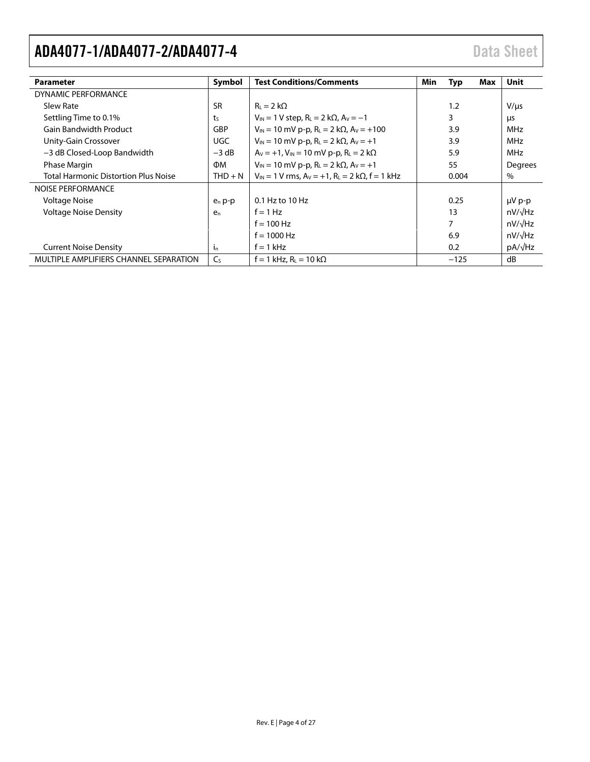| <b>Parameter</b>                            | Symbol         | <b>Test Conditions/Comments</b>                                             | Min | Typ    | Max | Unit           |
|---------------------------------------------|----------------|-----------------------------------------------------------------------------|-----|--------|-----|----------------|
| DYNAMIC PERFORMANCE                         |                |                                                                             |     |        |     |                |
| Slew Rate                                   | <b>SR</b>      | $R_L = 2 k\Omega$                                                           |     | 1.2    |     | $V/\mu s$      |
| Settling Time to 0.1%                       | t <sub>S</sub> | $V_{IN} = 1 V$ step, $R_L = 2 k\Omega$ , $A_V = -1$                         |     | 3      |     | μs             |
| <b>Gain Bandwidth Product</b>               | GBP            | $V_{IN}$ = 10 mV p-p, R <sub>L</sub> = 2 k $\Omega$ , A <sub>V</sub> = +100 |     | 3.9    |     | MHz            |
| Unity-Gain Crossover                        | UGC            | $V_{IN} = 10$ mV p-p, $R_L = 2$ k $\Omega$ , $A_V = +1$                     |     | 3.9    |     | MHz            |
| -3 dB Closed-Loop Bandwidth                 | $-3$ dB        | $A_V = +1$ , $V_{IN} = 10$ mV p-p, $R_L = 2$ k $\Omega$                     |     | 5.9    |     | MHz            |
| Phase Margin                                | ФM             | $V_{IN}$ = 10 mV p-p, R <sub>L</sub> = 2 k $\Omega$ , A <sub>V</sub> = +1   |     | 55     |     | Degrees        |
| <b>Total Harmonic Distortion Plus Noise</b> | $THD + N$      | $V_{IN}$ = 1 V rms, $A_V$ = +1, R <sub>L</sub> = 2 k $\Omega$ , f = 1 kHz   |     | 0.004  |     | $\%$           |
| NOISE PERFORMANCE                           |                |                                                                             |     |        |     |                |
| <b>Voltage Noise</b>                        | $e_n p-p$      | $0.1$ Hz to $10$ Hz                                                         |     | 0.25   |     | $\mu V$ p-p    |
| <b>Voltage Noise Density</b>                | e <sub>n</sub> | $f = 1 Hz$                                                                  |     | 13     |     | $nV/\sqrt{Hz}$ |
|                                             |                | $f = 100$ Hz                                                                |     | 7      |     | $nV/\sqrt{Hz}$ |
|                                             |                | $f = 1000$ Hz                                                               |     | 6.9    |     | $nV/\sqrt{Hz}$ |
| <b>Current Noise Density</b>                | $i_{n}$        | $f = 1$ kHz                                                                 |     | 0.2    |     | $pA/\sqrt{Hz}$ |
| MULTIPLE AMPLIFIERS CHANNEL SEPARATION      | Cs             | $f = 1$ kHz, $R_L = 10$ k $\Omega$                                          |     | $-125$ |     | dB             |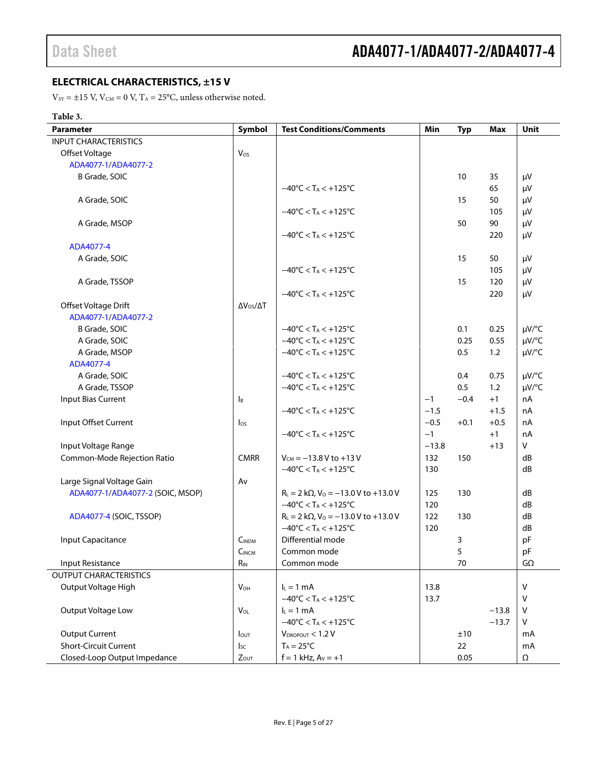### <span id="page-4-0"></span>**ELECTRICAL CHARACTERISTICS, ±15 V**

 $\mathrm{V}_{\text{SY}} = \pm 15$  V,  $\mathrm{V}_{\text{CM}} = 0$  V,  $\mathrm{T}_{\text{A}} = 25^{\circ}\mathrm{C}$ , unless otherwise noted.

### **Table 3.**

| Parameter                        | Symbol                    | <b>Test Conditions/Comments</b>                     | Min     | <b>Typ</b> | <b>Max</b> | Unit         |
|----------------------------------|---------------------------|-----------------------------------------------------|---------|------------|------------|--------------|
| <b>INPUT CHARACTERISTICS</b>     |                           |                                                     |         |            |            |              |
| Offset Voltage                   | Vos                       |                                                     |         |            |            |              |
| ADA4077-1/ADA4077-2              |                           |                                                     |         |            |            |              |
| B Grade, SOIC                    |                           |                                                     |         | 10         | 35         | μV           |
|                                  |                           | $-40^{\circ}$ C < T <sub>A</sub> < $+125^{\circ}$ C |         |            | 65         | μV           |
| A Grade, SOIC                    |                           |                                                     |         | 15         | 50         | $\mu V$      |
|                                  |                           | $-40^{\circ}$ C < T <sub>A</sub> < $+125^{\circ}$ C |         |            | 105        | μV           |
| A Grade, MSOP                    |                           |                                                     |         | 50         | 90         | μV           |
|                                  |                           | $-40^{\circ}$ C < T <sub>A</sub> < $+125^{\circ}$ C |         |            | 220        | μV           |
| ADA4077-4                        |                           |                                                     |         |            |            |              |
| A Grade, SOIC                    |                           |                                                     |         | 15         | 50         | μV           |
|                                  |                           | $-40^{\circ}$ C < T <sub>A</sub> < $+125^{\circ}$ C |         |            | 105        | μV           |
| A Grade, TSSOP                   |                           |                                                     |         | 15         | 120        | $\mu$ V      |
|                                  |                           | $-40^{\circ}$ C < T <sub>A</sub> < $+125^{\circ}$ C |         |            | 220        | $\mu V$      |
| Offset Voltage Drift             | $\Delta V_{OS}/\Delta T$  |                                                     |         |            |            |              |
| ADA4077-1/ADA4077-2              |                           |                                                     |         |            |            |              |
| B Grade, SOIC                    |                           | $-40^{\circ}$ C < T <sub>A</sub> < $+125^{\circ}$ C |         | 0.1        | 0.25       | $\mu V$ /°C  |
| A Grade, SOIC                    |                           | $-40^{\circ}$ C < T <sub>A</sub> < $+125^{\circ}$ C |         | 0.25       | 0.55       | $\mu V$ /°C  |
| A Grade, MSOP                    |                           | $-40^{\circ}$ C < T <sub>A</sub> < $+125^{\circ}$ C |         | 0.5        | 1.2        | $\mu V$ /°C  |
| ADA4077-4                        |                           |                                                     |         |            |            |              |
| A Grade, SOIC                    |                           | $-40^{\circ}$ C < T <sub>A</sub> < $+125^{\circ}$ C |         | 0.4        | 0.75       | $\mu V$ /°C  |
| A Grade, TSSOP                   |                           | $-40^{\circ}$ C < T <sub>A</sub> < $+125^{\circ}$ C |         | 0.5        | 1.2        | $\mu V$ /°C  |
| Input Bias Current               | $\mathsf{I}_{\mathsf{B}}$ |                                                     | $-1$    | $-0.4$     | $+1$       | nA           |
|                                  |                           | $-40^{\circ}$ C < T <sub>A</sub> < $+125^{\circ}$ C | $-1.5$  |            | $+1.5$     | nA           |
| Input Offset Current             | $\log$                    |                                                     | $-0.5$  | $+0.1$     | $+0.5$     | nA           |
|                                  |                           | $-40^{\circ}$ C < T <sub>A</sub> < $+125^{\circ}$ C | $-1$    |            | $+1$       | nA           |
| Input Voltage Range              |                           |                                                     | $-13.8$ |            | $+13$      | $\mathsf{V}$ |
| Common-Mode Rejection Ratio      | <b>CMRR</b>               | $V_{CM} = -13.8 V$ to +13 V                         | 132     | 150        |            | dB           |
|                                  |                           | $-40^{\circ}$ C < T <sub>A</sub> < $+125^{\circ}$ C | 130     |            |            | dB           |
| Large Signal Voltage Gain        | Av                        |                                                     |         |            |            |              |
| ADA4077-1/ADA4077-2 (SOIC, MSOP) |                           | $R_L = 2 k\Omega$ , $V_O = -13.0 V$ to +13.0 V      | 125     | 130        |            | dB           |
|                                  |                           | $-40^{\circ}$ C < T <sub>A</sub> < $+125^{\circ}$ C | 120     |            |            | dB           |
| ADA4077-4 (SOIC, TSSOP)          |                           | $R_L = 2 k\Omega$ , $V_0 = -13.0 V$ to +13.0 V      | 122     | 130        |            | dB           |
|                                  |                           | $-40^{\circ}$ C < T <sub>A</sub> < $+125^{\circ}$ C | 120     |            |            | dB           |
| <b>Input Capacitance</b>         | C <sub>INDM</sub>         | Differential mode                                   |         | 3          |            | pF           |
|                                  | C <sub>INCM</sub>         | Common mode                                         |         | 5          |            | pF           |
| Input Resistance                 | $R_{IN}$                  | Common mode                                         |         | 70         |            | $G\Omega$    |
| <b>OUTPUT CHARACTERISTICS</b>    |                           |                                                     |         |            |            |              |
| Output Voltage High              | $V_{OH}$                  | $I_L = 1$ mA                                        | 13.8    |            |            | $\vee$       |
|                                  |                           | $-40^{\circ}$ C < T <sub>A</sub> < $+125^{\circ}$ C | 13.7    |            |            | V            |
| Output Voltage Low               | $V_{OL}$                  | $I_L = 1$ mA                                        |         |            | $-13.8$    | $\vee$       |
|                                  |                           | $-40^{\circ}$ C < T <sub>A</sub> < $+125^{\circ}$ C |         |            | $-13.7$    | V            |
| <b>Output Current</b>            | $I_{\text{OUT}}$          | $V_{DROPOUT}$ < 1.2 V                               |         | ±10        |            | mA           |
| <b>Short-Circuit Current</b>     | <b>I</b> sc               | $T_A = 25^{\circ}C$                                 |         | 22         |            | mA           |
| Closed-Loop Output Impedance     | $Z_{OUT}$                 | $f = 1$ kHz, $A_V = +1$                             |         | 0.05       |            | Ω            |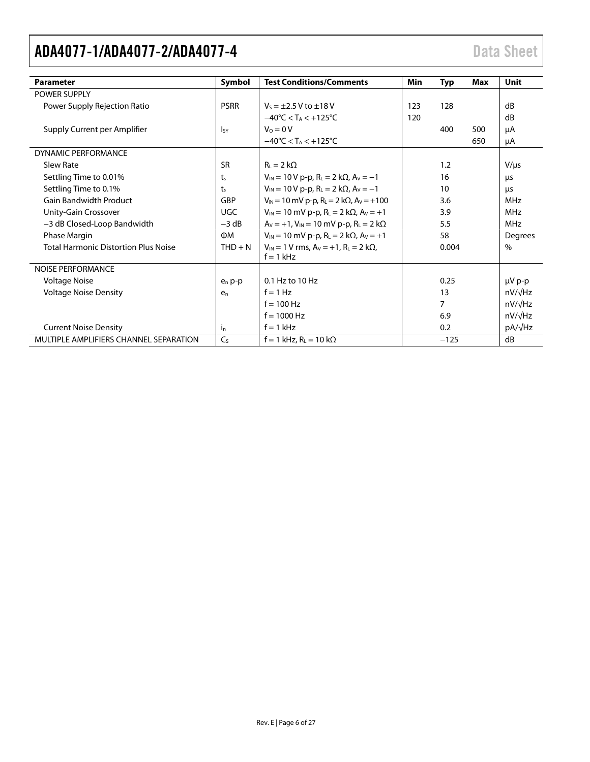| <b>Parameter</b>                            | Symbol         | <b>Test Conditions/Comments</b>                                             | Min | Typ            | Max | Unit           |
|---------------------------------------------|----------------|-----------------------------------------------------------------------------|-----|----------------|-----|----------------|
| <b>POWER SUPPLY</b>                         |                |                                                                             |     |                |     |                |
| Power Supply Rejection Ratio                | <b>PSRR</b>    | $V_5 = \pm 2.5 V$ to $\pm 18 V$                                             | 123 | 128            |     | dB             |
|                                             |                | $-40^{\circ}$ C < T <sub>A</sub> < $+125^{\circ}$ C                         | 120 |                |     | dB             |
| Supply Current per Amplifier                | <b>I</b> sy    | $V_0 = 0V$                                                                  |     | 400            | 500 | μA             |
|                                             |                | $-40^{\circ}$ C < T <sub>A</sub> < $+125^{\circ}$ C                         |     |                | 650 | μA             |
| <b>DYNAMIC PERFORMANCE</b>                  |                |                                                                             |     |                |     |                |
| Slew Rate                                   | <b>SR</b>      | $R_L = 2 k\Omega$                                                           |     | 1.2            |     | $V/\mu s$      |
| Settling Time to 0.01%                      | $t_{s}$        | $V_{IN}$ = 10 V p-p, R <sub>L</sub> = 2 k $\Omega$ , A <sub>V</sub> = -1    |     | 16             |     | μs             |
| Settling Time to 0.1%                       | t <sub>s</sub> | $V_{IN}$ = 10 V p-p, R <sub>L</sub> = 2 k $\Omega$ , A <sub>V</sub> = -1    |     | 10             |     | μs             |
| <b>Gain Bandwidth Product</b>               | GBP            | $V_{IN}$ = 10 mV p-p, R <sub>L</sub> = 2 k $\Omega$ , A <sub>V</sub> = +100 |     | 3.6            |     | <b>MHz</b>     |
| Unity-Gain Crossover                        | <b>UGC</b>     | $V_{IN}$ = 10 mV p-p, R <sub>L</sub> = 2 k $\Omega$ , A <sub>V</sub> = +1   |     | 3.9            |     | <b>MHz</b>     |
| -3 dB Closed-Loop Bandwidth                 | $-3 dB$        | $A_V = +1$ , $V_{IN} = 10$ mV p-p, $R_L = 2$ k $\Omega$                     |     | 5.5            |     | <b>MHz</b>     |
| Phase Margin                                | ФM             | $V_{IN}$ = 10 mV p-p, R <sub>L</sub> = 2 k $\Omega$ , A <sub>V</sub> = +1   |     | 58             |     | Degrees        |
| <b>Total Harmonic Distortion Plus Noise</b> | $THD + N$      | $V_{IN}$ = 1 V rms, $A_V$ = +1, R <sub>L</sub> = 2 k $\Omega$ ,             |     | 0.004          |     | $\%$           |
|                                             |                | $f = 1$ kHz                                                                 |     |                |     |                |
| <b>NOISE PERFORMANCE</b>                    |                |                                                                             |     |                |     |                |
| <b>Voltage Noise</b>                        | $e_n p-p$      | 0.1 Hz to 10 Hz                                                             |     | 0.25           |     | µV p-p         |
| <b>Voltage Noise Density</b>                | $e_n$          | $f = 1 Hz$                                                                  |     | 13             |     | $nV/\sqrt{Hz}$ |
|                                             |                | $f = 100$ Hz                                                                |     | $\overline{7}$ |     | $nV/\sqrt{Hz}$ |
|                                             |                | $f = 1000$ Hz                                                               |     | 6.9            |     | $nV/\sqrt{Hz}$ |
| <b>Current Noise Density</b>                | $i_{n}$        | $f = 1$ kHz                                                                 |     | 0.2            |     | $pA/\sqrt{Hz}$ |
| MULTIPLE AMPLIFIERS CHANNEL SEPARATION      | C <sub>S</sub> | $f = 1$ kHz, $R_L = 10$ k $\Omega$                                          |     | $-125$         |     | dB             |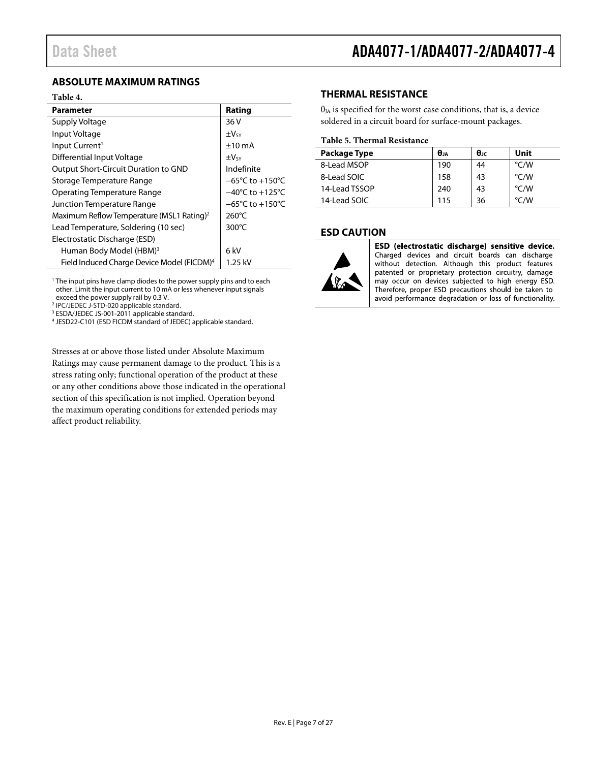### <span id="page-6-0"></span>**ABSOLUTE MAXIMUM RATINGS**

#### **Table 4.**

| <b>Parameter</b>                                       | Rating                              |
|--------------------------------------------------------|-------------------------------------|
| Supply Voltage                                         | 36 V                                |
| Input Voltage                                          | $\pm V$ sy                          |
| Input Current <sup>1</sup>                             | $±10$ mA                            |
| Differential Input Voltage                             | $\pm V$ sy                          |
| <b>Output Short-Circuit Duration to GND</b>            | Indefinite                          |
| Storage Temperature Range                              | $-65^{\circ}$ C to $+150^{\circ}$ C |
| Operating Temperature Range                            | $-40^{\circ}$ C to $+125^{\circ}$ C |
| Junction Temperature Range                             | $-65^{\circ}$ C to $+150^{\circ}$ C |
| Maximum Reflow Temperature (MSL1 Rating) <sup>2</sup>  | $260^{\circ}$ C                     |
| Lead Temperature, Soldering (10 sec)                   | $300^{\circ}$ C                     |
| Electrostatic Discharge (ESD)                          |                                     |
| Human Body Model (HBM) <sup>3</sup>                    | 6 kV                                |
| Field Induced Charge Device Model (FICDM) <sup>4</sup> | 1.25 kV                             |

<sup>1</sup> The input pins have clamp diodes to the power supply pins and to each other. Limit the input current to 10 mA or less whenever input signals exceed the power supply rail by 0.3 V.

<sup>2</sup> IPC/JEDEC J-STD-020 applicable standard.<br><sup>3</sup> ESDA/JEDEC JS-001-2011 applicable standard.

<sup>4</sup> JESD22-C101 (ESD FICDM standard of JEDEC) applicable standard.

Stresses at or above those listed under Absolute Maximum Ratings may cause permanent damage to the product. This is a stress rating only; functional operation of the product at these or any other conditions above those indicated in the operational section of this specification is not implied. Operation beyond the maximum operating conditions for extended periods may affect product reliability.

### <span id="page-6-1"></span>**THERMAL RESISTANCE**

 $\theta_{JA}$  is specified for the worst case conditions, that is, a device soldered in a circuit board for surface-mount packages.

#### **Table 5. Thermal Resistance**

| Package Type  | $\theta_{1A}$ | $\theta_{\rm IC}$ | Unit          |
|---------------|---------------|-------------------|---------------|
| 8-Lead MSOP   | 190           | 44                | °C/W          |
| 8-Lead SOIC   | 158           | 43                | °C/W          |
| 14-Lead TSSOP | 240           | 43                | $\degree$ C/W |
| 14-Lead SOIC  | 115           | 36                | $\degree$ C/W |

### <span id="page-6-2"></span>**ESD CAUTION**



ESD (electrostatic discharge) sensitive device. Charged devices and circuit boards can discharge without detection. Although this product features patented or proprietary protection circuitry, damage may occur on devices subjected to high energy ESD. Therefore, proper ESD precautions should be taken to avoid performance degradation or loss of functionality.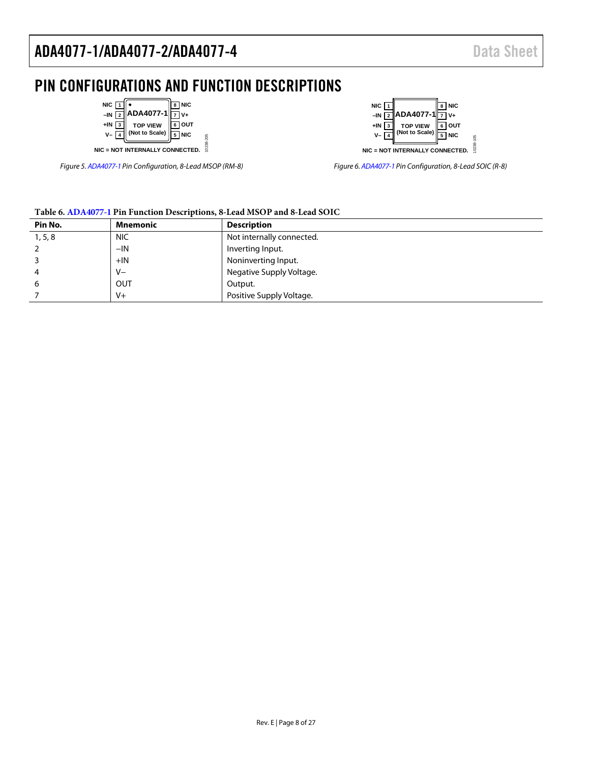# <span id="page-7-0"></span>PIN CONFIGURATIONS AND FUNCTION DESCRIPTIONS

10238-205

10238-205

| NIC $\sqrt{1}$<br>$-IN$<br>+IN<br>V- | ADA4077-1<br>TOP VIEW<br>(Not to Scale) | NIC<br>$V_{+}$<br><b>OUT</b><br><b>NIC</b> |
|--------------------------------------|-----------------------------------------|--------------------------------------------|
|                                      | NIC = NOT INTERNALLY CONNECTED.         |                                            |

*Figure 5[. ADA4077-1](http://www.analog.com/ADA4077-1?doc=ADA4077-1_4077-2_4077-4.pdf) Pin Configuration, 8-Lead MSOP (RM-8)* 



*Figure 6[. ADA4077-1](http://www.analog.com/ADA4077-1?doc=ADA4077-1_4077-2_4077-4.pdf) Pin Configuration, 8-Lead SOIC (R-8)* 

### **Table 6[. ADA4077-1](http://www.analog.com/ADA4077-1?doc=ADA4077-1_4077-2_4077-4.pdf) Pin Function Descriptions, 8-Lead MSOP and 8-Lead SOIC**

| Pin No. | Mnemonic   | <b>Description</b>        |
|---------|------------|---------------------------|
| 1, 5, 8 | <b>NIC</b> | Not internally connected. |
|         | $-IN$      | Inverting Input.          |
|         | $+IN$      | Noninverting Input.       |
| 4       | V-         | Negative Supply Voltage.  |
| 6       | <b>OUT</b> | Output.                   |
|         | $V +$      | Positive Supply Voltage.  |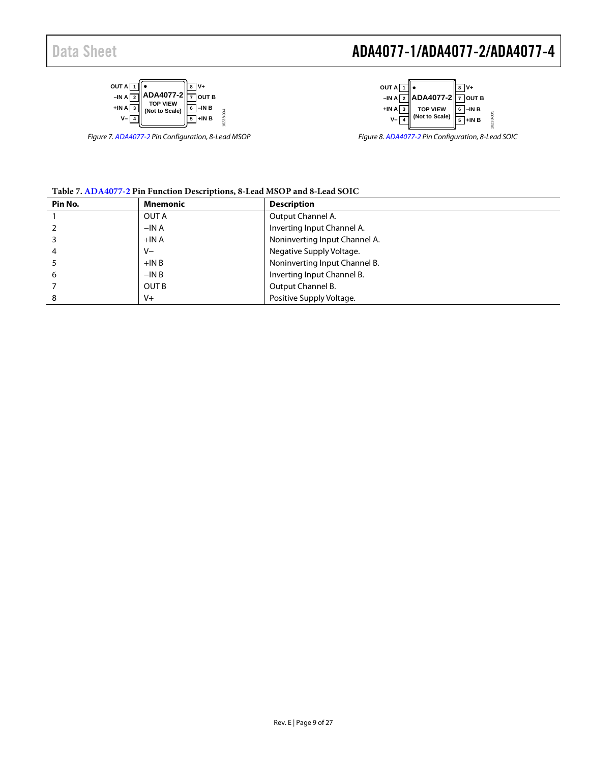



*Figure 7[. ADA4077-2](http://www.analog.com/ADA4077-2?doc=ADA4077-1_4077-2_4077-4.pdf) Pin Configuration, 8-Lead MSOP*



*Figure 8[. ADA4077-2](http://www.analog.com/ADA4077-2?doc=ADA4077-1_4077-2_4077-4.pdf) Pin Configuration, 8-Lead SOIC*

#### **Table 7[. ADA4077-2](http://www.analog.com/ADA4077-2?doc=ADA4077-1_4077-2_4077-4.pdf) Pin Function Descriptions, 8-Lead MSOP and 8-Lead SOIC**

| Pin No. | <b>Mnemonic</b> | <b>Description</b>            |  |  |
|---------|-----------------|-------------------------------|--|--|
|         | OUT A           | Output Channel A.             |  |  |
|         | $-INA$          | Inverting Input Channel A.    |  |  |
|         | $+INA$          | Noninverting Input Channel A. |  |  |
| 4       | $V -$           | Negative Supply Voltage.      |  |  |
|         | $+INB$          | Noninverting Input Channel B. |  |  |
| 6       | $-INB$          | Inverting Input Channel B.    |  |  |
|         | OUT B           | Output Channel B.             |  |  |
| 8       | $V +$           | Positive Supply Voltage.      |  |  |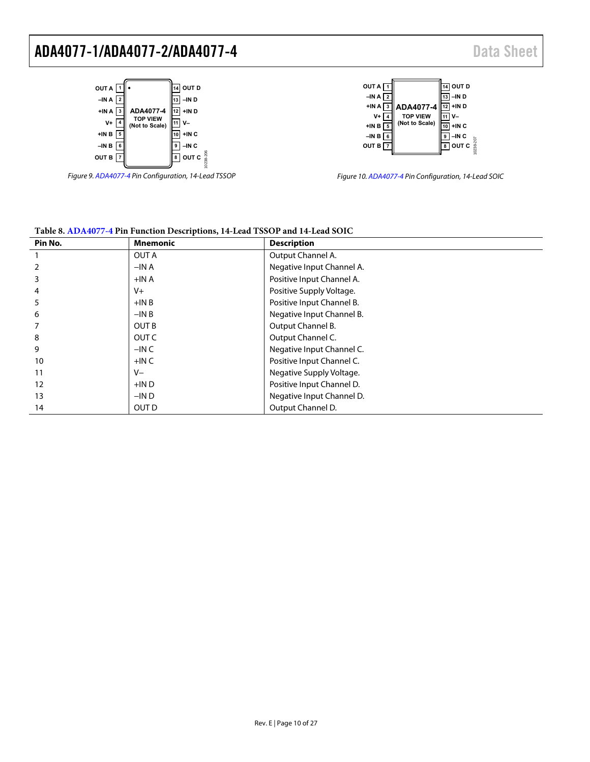

**–IN A 2 +IN A 3 V+ 4 +IN B 5 10 +IN C –IN B 6 9 –IN C OUT B 7 8 OUT C ADA4077-4 TOP VIEW (Not to Scale)**

OUT A  $\boxed{1}$ 

Figure 9[. ADA4077-4 P](http://www.analog.com/ADA4077-4?doc=ADA4077-1_4077-2_4077-4.pdf)in Configuration, 14-Lead TSSOP



**14 OUT D 13 –IN D 12 +IN D 11 V–**

10238-207

| Pin No. | <b>Mnemonic</b> | <b>Description</b>        |
|---------|-----------------|---------------------------|
|         | OUT A           | Output Channel A.         |
|         | $-INA$          | Negative Input Channel A. |
|         | $+INA$          | Positive Input Channel A. |
|         | $V +$           | Positive Supply Voltage.  |
|         | $+INB$          | Positive Input Channel B. |
| 6       | $-INB$          | Negative Input Channel B. |
|         | <b>OUT B</b>    | Output Channel B.         |
| 8       | OUT C           | Output Channel C.         |
| 9       | $-INC$          | Negative Input Channel C. |
| 10      | $+$ INC         | Positive Input Channel C. |
| 11      | V-              | Negative Supply Voltage.  |
| 12      | $+IND$          | Positive Input Channel D. |
| 13      | $-IND$          | Negative Input Channel D. |
| 14      | OUT D           | Output Channel D.         |

### **Table 8[. ADA4077-4 P](http://www.analog.com/ADA4077-4?doc=ADA4077-1_4077-2_4077-4.pdf)in Function Descriptions, 14-Lead TSSOP and 14-Lead SOIC**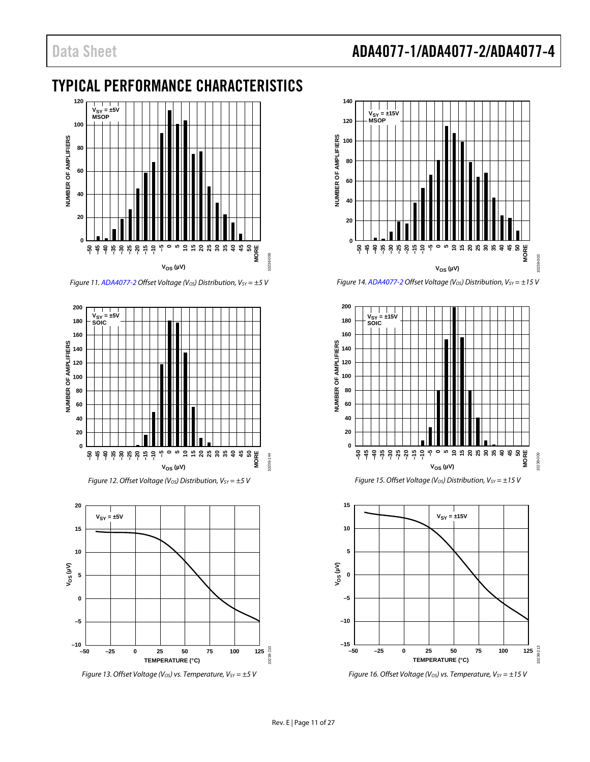# Data Sheet **ADA4077-1/ADA4077-2/ADA4077-4**

# <span id="page-10-0"></span>TYPICAL PERFORMANCE CHARACTERISTICS



*Figure 11[. ADA4077-2](http://www.analog.com/ADA4077-2?doc=ADA4077-1_4077-2_4077-4.pdf) Offset Voltage (V<sub>OS</sub>) Distribution, V<sub>SY</sub> = ±5 V* 



*Figure 12. Offset Voltage (Vos) Distribution, Vsv* =  $\pm$ 5 V



*Figure 13. Offset Voltage (V<sub>OS</sub>) vs. Temperature, V<sub>SY</sub> = ±5 V* 



*Figure 14[. ADA4077-2](http://www.analog.com/ADA4077-2?doc=ADA4077-1_4077-2_4077-4.pdf) Offset Voltage (Vos) Distribution, Vsv* = ±15 V



*Figure 15. Offset Voltage (V<sub>OS</sub>) Distribution, V<sub>SY</sub> = ±15 V* 



*Figure 16. Offset Voltage (V<sub>OS</sub>) vs. Temperature, V<sub>SY</sub> = ±15 V*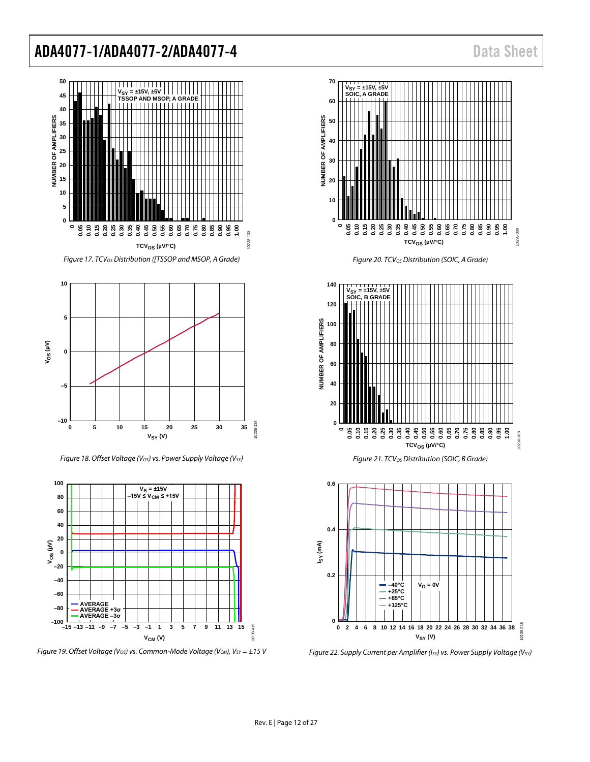

*Figure 17. TCVOS Distribution ([TSSOP and MSOP, A Grade)* 



*Figure 18. Offset Voltage (Vos) vs. Power Supply Voltage (Vsv)* 



*Figure 19. Offset Voltage (Vos) vs. Common-Mode Voltage (Vcm), Vsv* = ±15 V



*Figure 20. TCVOS Distribution (SOIC, A Grade)*





*Figure 22. Supply Current per Amplifier (I<sub>SY</sub>) vs. Power Supply Voltage (V<sub>SY</sub>)*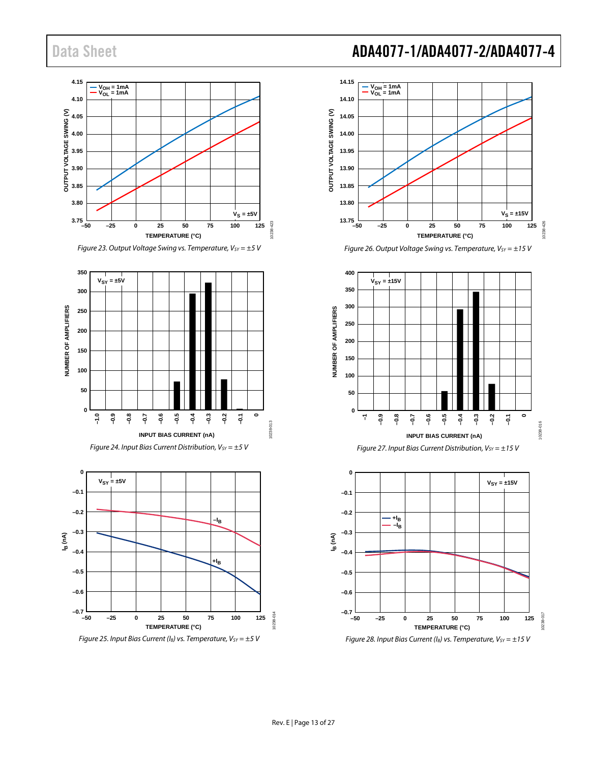



*Figure 24. Input Bias Current Distribution, V<sub>SY</sub> =*  $\pm$ *5 V* 



# Data Sheet **ADA4077-1/ADA4077-2/ADA4077-4**







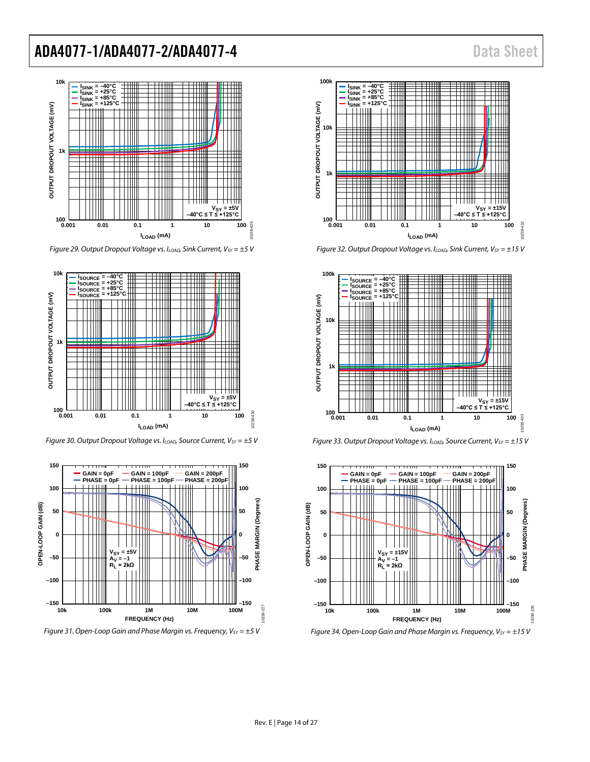

*Figure 29. Output Dropout Voltage vs. I<sub>LOAD</sub>, Sink Current, V<sub>SY</sub> =*  $\pm$ *5 V* 



*Figure 30. Output Dropout Voltage vs. I<sub>LOAD</sub>, Source Current, V<sub>SY</sub> = ±5 V* 



*Figure 31. Open-Loop Gain and Phase Margin vs. Frequency, Vsv* =  $\pm$ 5 V



*Figure 32. Output Dropout Voltage vs. I<sub>LOAD</sub>, Sink Current, V<sub>SY</sub> = ±15 V* 







*Figure 34. Open-Loop Gain and Phase Margin vs. Frequency, Vsv* =  $\pm$ 15 V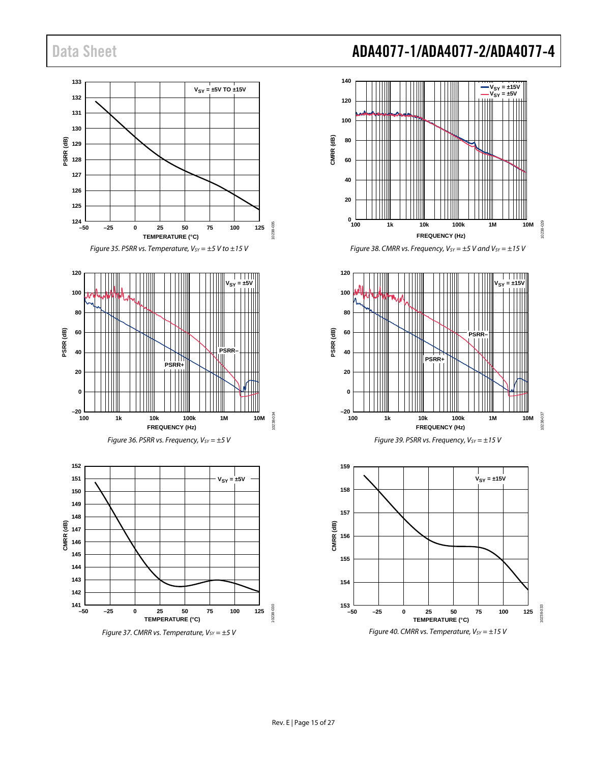

### Data Sheet **ADA4077-1/ADA4077-2/ADA4077-4**



*Figure 38. CMRR vs. Frequency, V<sub>SY</sub> =*  $\pm$ *5 V and V<sub>SY</sub> =*  $\pm$ *15 V* 





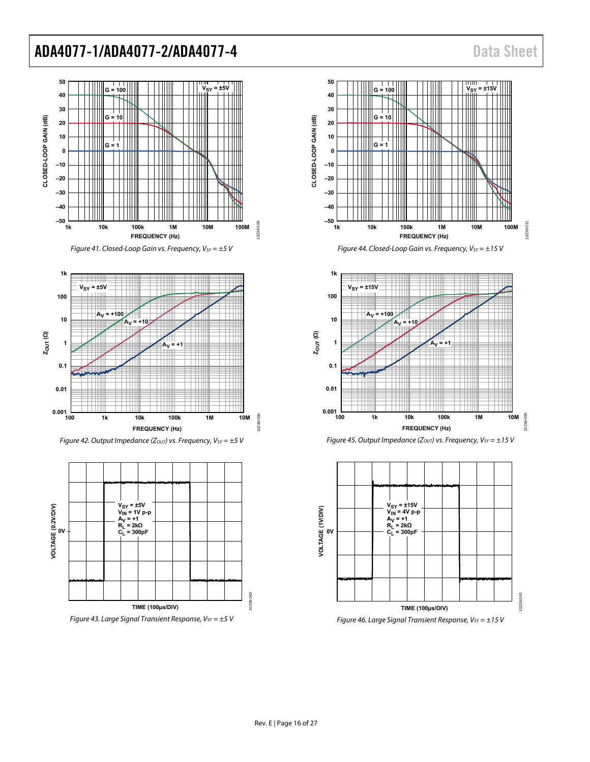















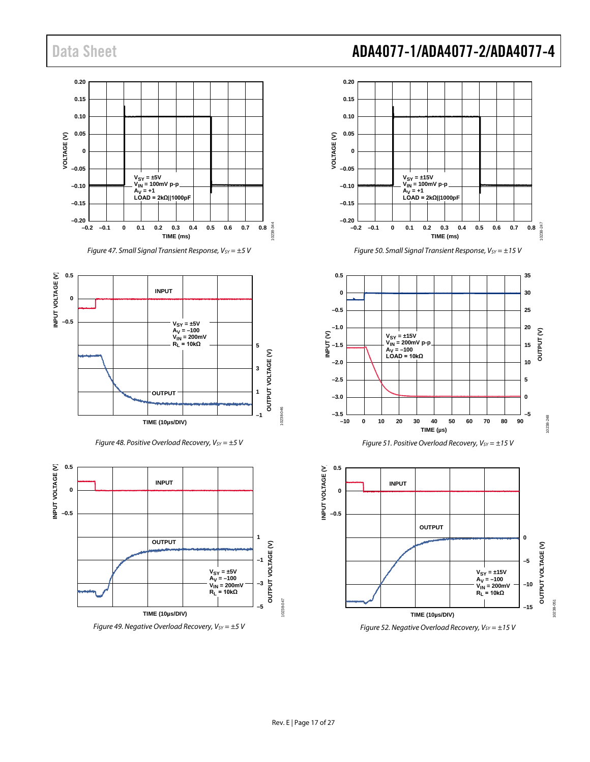

*Figure 47. Small Signal Transient Response, V<sub>SY</sub> = ±5 V* 



*Figure 48. Positive Overload Recovery, V<sub>SY</sub> = ±5 V* 



*Figure 49. Negative Overload Recovery, V<sub>SY</sub> = ±5 V* 

### Data Sheet **ADA4077-1/ADA4077-2/ADA4077-4**







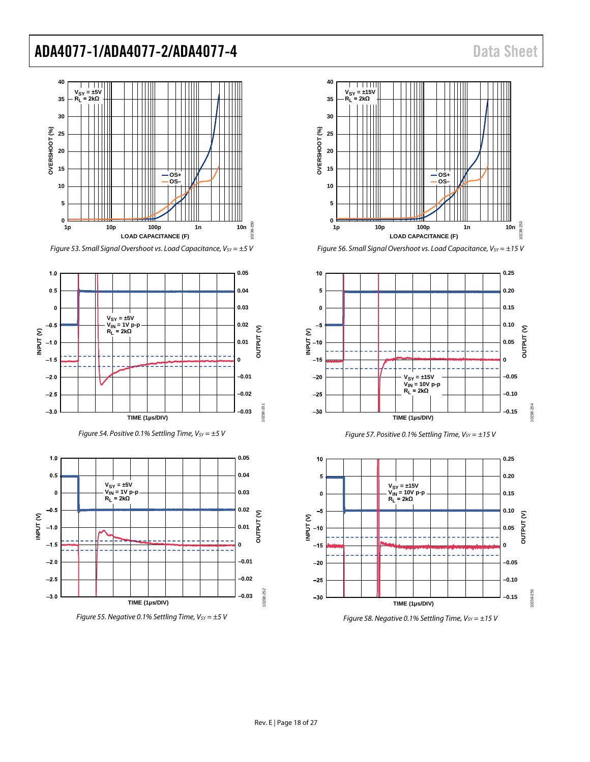











*Figure 56. Small Signal Overshoot vs. Load Capacitance, Vsv* =  $\pm$ 15 V







*Figure 58. Negative 0.1% Settling Time, Vsv* =  $\pm$ 15 V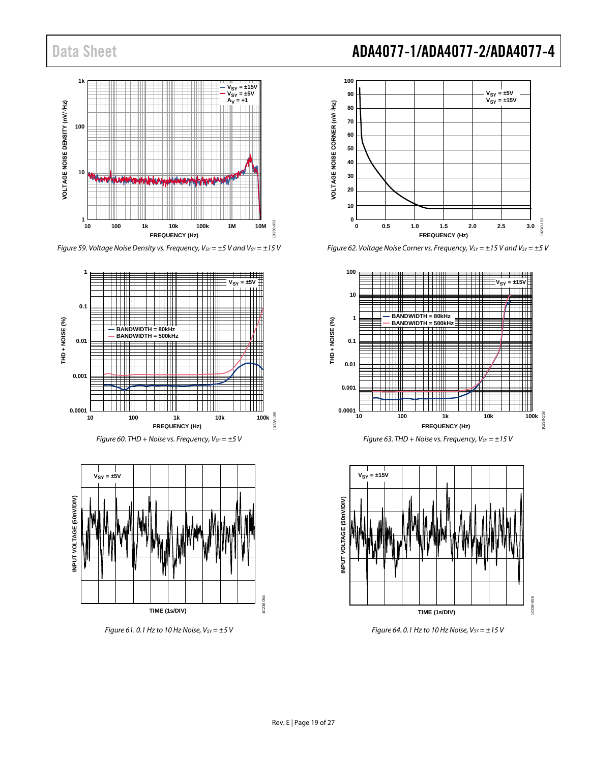

*Figure 59. Voltage Noise Density vs. Frequency, V<sub>SY</sub> = ±5 V and V<sub>SY</sub> = ±15 V* 







*Figure 61.0.1 Hz to 10 Hz Noise, Vsv* =  $\pm$ 5 *V* 

# Data Sheet **ADA4077-1/ADA4077-2/ADA4077-4**



*Figure 62. Voltage Noise Corner vs. Frequency, V<sub>SY</sub> = ±15 V and V<sub>SY</sub> = ±5 V* 







*Figure 64. 0.1 Hz to 10 Hz Noise, Vsv* =  $\pm$ 15 V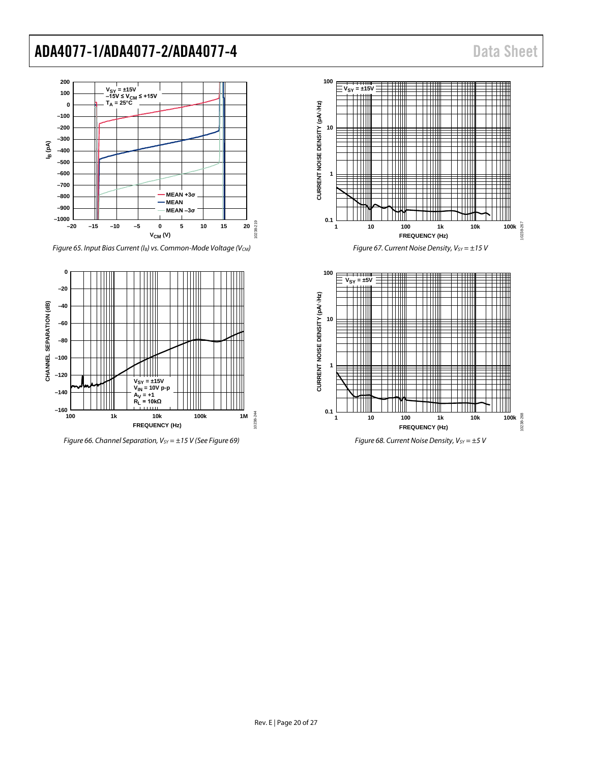

*Figure 65. Input Bias Current (I<sub>B</sub>) vs. Common-Mode Voltage (V<sub>CM</sub>)* 



*Figure 66. Channel Separation, V<sub>SY</sub>* = ±15 *V* (See Figure 69)





*Figure 67. Current Noise Density, V<sub>SY</sub> = ±15 V* 



*Figure 68. Current Noise Density, V<sub>SY</sub> =*  $\pm$ *5 V*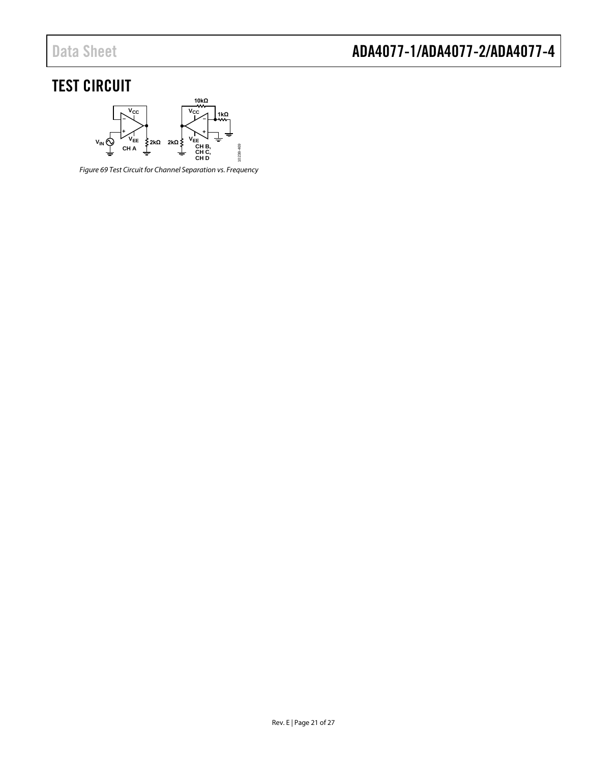# <span id="page-20-0"></span>TEST CIRCUIT



<span id="page-20-1"></span>*Figure 69 Test Circuit for Channel Separation vs. Frequency*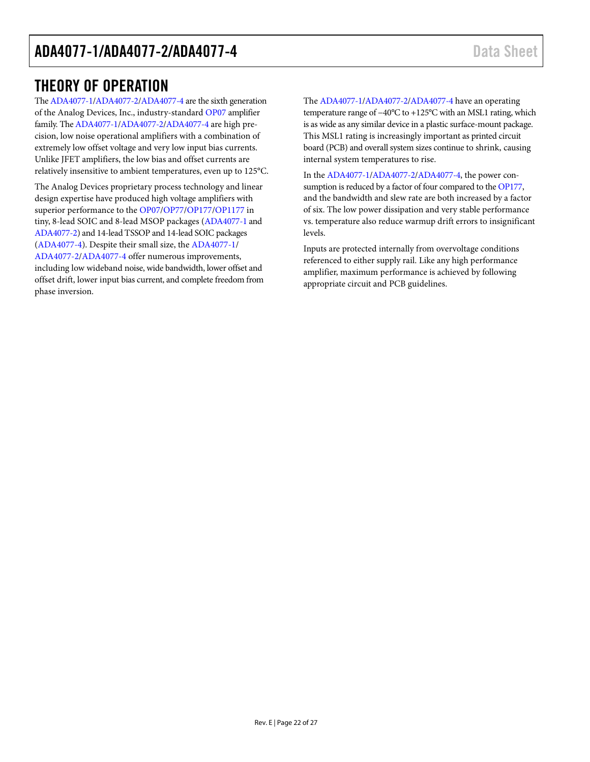### <span id="page-21-0"></span>THEORY OF OPERATION

Th[e ADA4077-1/](http://www.analog.com/ADA4077-1?doc=ADA4077-1_4077-2_4077-4.pdf)[ADA4077-2](http://www.analog.com/ADA4077-2?doc=ADA4077-1_4077-2_4077-4.pdf)[/ADA4077-4](http://www.analog.com/ADA4077-4?doc=ADA4077-1_4077-2_4077-4.pdf) are the sixth generation of the Analog Devices, Inc., industry-standar[d OP07](http://www.analog.com/OP07?doc=ADA4077-1_4077-2_4077-4.pdf) amplifier family. The [ADA4077-1/](http://www.analog.com/ADA4077-1?doc=ADA4077-1_4077-2_4077-4.pdf)[ADA4077-2](http://www.analog.com/ADA4077-2?doc=ADA4077-1_4077-2_4077-4.pdf)[/ADA4077-4](http://www.analog.com/ADA4077-4?doc=ADA4077-1_4077-2_4077-4.pdf) are high precision, low noise operational amplifiers with a combination of extremely low offset voltage and very low input bias currents. Unlike JFET amplifiers, the low bias and offset currents are relatively insensitive to ambient temperatures, even up to 125°C.

The Analog Devices proprietary process technology and linear design expertise have produced high voltage amplifiers with superior performance to the [OP07/](http://www.analog.com/OP07?doc=ADA4077-1_4077-2_4077-4.pdf)[OP77/](http://www.analog.com/OP77?doc=ADA4077-1_4077-2_4077-4.pdf)[OP177](http://www.analog.com/OP177?doc=ADA4077-1_4077-2_4077-4.pdf)[/OP1177 i](http://www.analog.com/OP1177?doc=ADA4077-1_4077-2_4077-4.pdf)n tiny, 8-lead SOIC and 8-lead MSOP packages [\(ADA4077-1](http://www.analog.com/ADA4077-1?doc=ADA4077-1_4077-2_4077-4.pdf) and [ADA4077-2\)](http://www.analog.com/ADA4077-2?doc=ADA4077-1_4077-2_4077-4.pdf) and 14-lead TSSOP and 14-lead SOIC packages [\(ADA4077-4\)](http://www.analog.com/ADA4077-4?doc=ADA4077-1_4077-2_4077-4.pdf). Despite their small size, the [ADA4077-1/](http://www.analog.com/ADA4077-1?doc=ADA4077-1_4077-2_4077-4.pdf) [ADA4077-2](http://www.analog.com/ADA4077-2?doc=ADA4077-1_4077-2_4077-4.pdf)[/ADA4077-4](http://www.analog.com/ADA4077-4?doc=ADA4077-1_4077-2_4077-4.pdf) offer numerous improvements, including low wideband noise, wide bandwidth, lower offset and offset drift, lower input bias current, and complete freedom from phase inversion.

The [ADA4077-1](http://www.analog.com/ADA4077-1?doc=ADA4077-1_4077-2_4077-4.pdf)[/ADA4077-2/](http://www.analog.com/ADA4077-2?doc=ADA4077-1_4077-2_4077-4.pdf)[ADA4077-4](http://www.analog.com/ADA4077-4?doc=ADA4077-1_4077-2_4077-4.pdf) have an operating temperature range of −40°C to +125°C with an MSL1 rating, which is as wide as any similar device in a plastic surface-mount package. This MSL1 rating is increasingly important as printed circuit board (PCB) and overall system sizes continue to shrink, causing internal system temperatures to rise.

In th[e ADA4077-1](http://www.analog.com/ADA4077-1?doc=ADA4077-1_4077-2_4077-4.pdf)[/ADA4077-2/](http://www.analog.com/ADA4077-2?doc=ADA4077-1_4077-2_4077-4.pdf)[ADA4077-4,](http://www.analog.com/ADA4077-4?doc=ADA4077-1_4077-2_4077-4.pdf) the power consumption is reduced by a factor of four compared to th[e OP177,](http://www.analog.com/OP177?doc=ADA4077-1_4077-2_4077-4.pdf) and the bandwidth and slew rate are both increased by a factor of six. The low power dissipation and very stable performance vs. temperature also reduce warmup drift errors to insignificant levels.

Inputs are protected internally from overvoltage conditions referenced to either supply rail. Like any high performance amplifier, maximum performance is achieved by following appropriate circuit and PCB guidelines.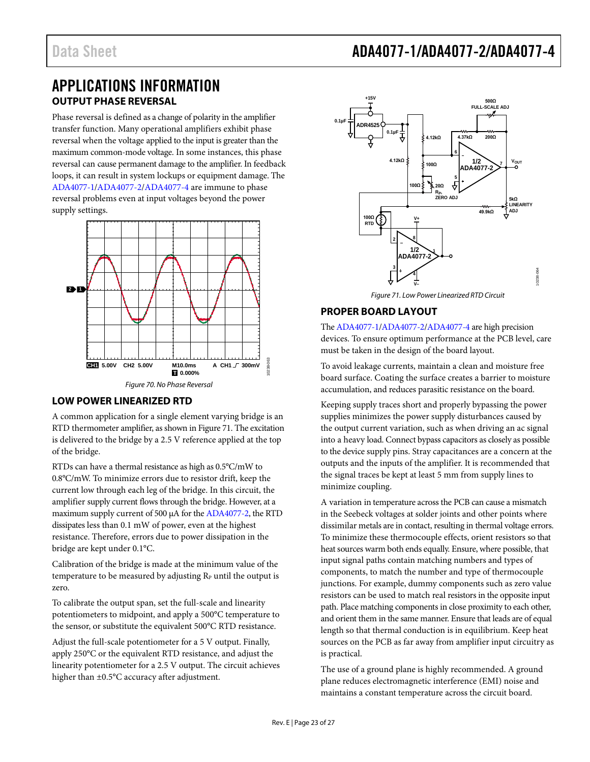### <span id="page-22-0"></span>APPLICATIONS INFORMATION **OUTPUT PHASE REVERSAL**

<span id="page-22-1"></span>Phase reversal is defined as a change of polarity in the amplifier transfer function. Many operational amplifiers exhibit phase reversal when the voltage applied to the input is greater than the maximum common-mode voltage. In some instances, this phase reversal can cause permanent damage to the amplifier. In feedback loops, it can result in system lockups or equipment damage. The [ADA4077-1](http://www.analog.com/ADA4077-1?doc=ADA4077-1_4077-2_4077-4.pdf)[/ADA4077-2](http://www.analog.com/ADA4077-2?doc=ADA4077-1_4077-2_4077-4.pdf)[/ADA4077-4](http://www.analog.com/ADA4077-4?doc=ADA4077-1_4077-2_4077-4.pdf) are immune to phase reversal problems even at input voltages beyond the power supply settings.



### <span id="page-22-2"></span>**LOW POWER LINEARIZED RTD**

A common application for a single element varying bridge is an RTD thermometer amplifier, as shown i[n Figure 71.](#page-22-4) The excitation is delivered to the bridge by a 2.5 V reference applied at the top of the bridge.

RTDs can have a thermal resistance as high as 0.5°C/mW to 0.8°C/mW. To minimize errors due to resistor drift, keep the current low through each leg of the bridge. In this circuit, the amplifier supply current flows through the bridge. However, at a maximum supply current of 500 µA for th[e ADA4077-2,](http://www.analog.com/ADA4077-2?doc=ADA4077-1_4077-2_4077-4.pdf) the RTD dissipates less than 0.1 mW of power, even at the highest resistance. Therefore, errors due to power dissipation in the bridge are kept under 0.1°C.

Calibration of the bridge is made at the minimum value of the temperature to be measured by adjusting  $R_P$  until the output is zero.

To calibrate the output span, set the full-scale and linearity potentiometers to midpoint, and apply a 500°C temperature to the sensor, or substitute the equivalent 500°C RTD resistance.

Adjust the full-scale potentiometer for a 5 V output. Finally, apply 250°C or the equivalent RTD resistance, and adjust the linearity potentiometer for a 2.5 V output. The circuit achieves higher than ±0.5°C accuracy after adjustment.

# Data Sheet **ADA4077-1/ADA4077-2/ADA4077-4**



*Figure 71. Low Power Linearized RTD Circuit* 

### <span id="page-22-4"></span><span id="page-22-3"></span>**PROPER BOARD LAYOUT**

Th[e ADA4077-1/](http://www.analog.com/ADA4077-1?doc=ADA4077-1_4077-2_4077-4.pdf)[ADA4077-2](http://www.analog.com/ADA4077-2?doc=ADA4077-1_4077-2_4077-4.pdf)[/ADA4077-4](http://www.analog.com/ADA4077-4?doc=ADA4077-1_4077-2_4077-4.pdf) are high precision devices. To ensure optimum performance at the PCB level, care must be taken in the design of the board layout.

To avoid leakage currents, maintain a clean and moisture free board surface. Coating the surface creates a barrier to moisture accumulation, and reduces parasitic resistance on the board.

Keeping supply traces short and properly bypassing the power supplies minimizes the power supply disturbances caused by the output current variation, such as when driving an ac signal into a heavy load. Connect bypass capacitors as closely as possible to the device supply pins. Stray capacitances are a concern at the outputs and the inputs of the amplifier. It is recommended that the signal traces be kept at least 5 mm from supply lines to minimize coupling.

A variation in temperature across the PCB can cause a mismatch in the Seebeck voltages at solder joints and other points where dissimilar metals are in contact, resulting in thermal voltage errors. To minimize these thermocouple effects, orient resistors so that heat sources warm both ends equally. Ensure, where possible, that input signal paths contain matching numbers and types of components, to match the number and type of thermocouple junctions. For example, dummy components such as zero value resistors can be used to match real resistors in the opposite input path. Place matching components in close proximity to each other, and orient them in the same manner. Ensure that leads are of equal length so that thermal conduction is in equilibrium. Keep heat sources on the PCB as far away from amplifier input circuitry as is practical.

The use of a ground plane is highly recommended. A ground plane reduces electromagnetic interference (EMI) noise and maintains a constant temperature across the circuit board.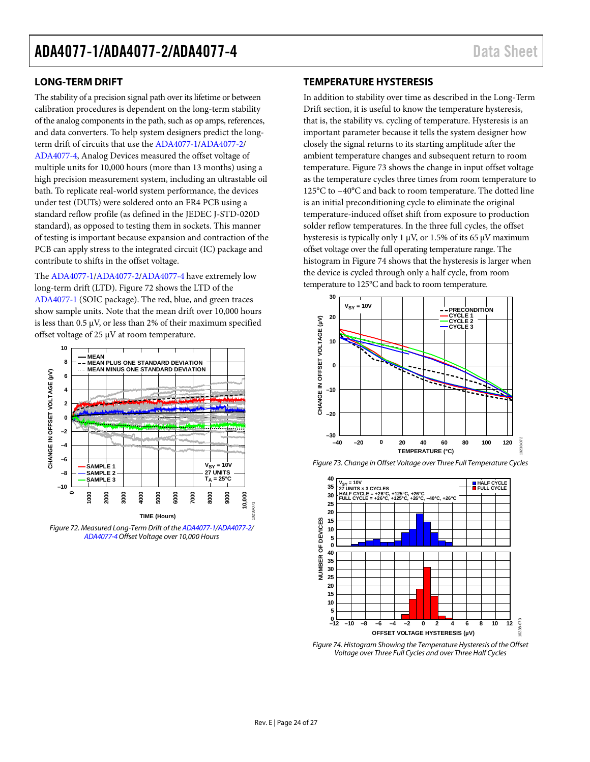### <span id="page-23-0"></span>**LONG-TERM DRIFT**

The stability of a precision signal path over its lifetime or between calibration procedures is dependent on the long-term stability of the analog components in the path, such as op amps, references, and data converters. To help system designers predict the longterm drift of circuits that use the [ADA4077-1/](http://www.analog.com/ADA4077-1?doc=ADA4077-1_4077-2_4077-4.pdf)[ADA4077-2/](http://www.analog.com/ADA4077-2?doc=ADA4077-1_4077-2_4077-4.pdf) [ADA4077-4,](http://www.analog.com/ADA4077-4?doc=ADA4077-1_4077-2_4077-4.pdf) Analog Devices measured the offset voltage of multiple units for 10,000 hours (more than 13 months) using a high precision measurement system, including an ultrastable oil bath. To replicate real-world system performance, the devices under test (DUTs) were soldered onto an FR4 PCB using a standard reflow profile (as defined in the JEDEC J-STD-020D standard), as opposed to testing them in sockets. This manner of testing is important because expansion and contraction of the PCB can apply stress to the integrated circuit (IC) package and contribute to shifts in the offset voltage.

The [ADA4077-1](http://www.analog.com/ADA4077-1?doc=ADA4077-1_4077-2_4077-4.pdf)[/ADA4077-2/](http://www.analog.com/ADA4077-2?doc=ADA4077-1_4077-2_4077-4.pdf)[ADA4077-4](http://www.analog.com/ADA4077-4?doc=ADA4077-1_4077-2_4077-4.pdf) have extremely low long-term drift (LTD). [Figure 72](#page-23-2) shows the LTD of the [ADA4077-1](http://www.analog.com/ADA4077-1?doc=ADA4077-1_4077-2_4077-4.pdf) (SOIC package). The red, blue, and green traces show sample units. Note that the mean drift over 10,000 hours is less than 0.5 µV, or less than 2% of their maximum specified offset voltage of 25 µV at room temperature.



<span id="page-23-2"></span>*Figure 72. Measured Long-Term Drift of th[e ADA4077-1](http://www.analog.com/ADA4077-1?doc=ADA4077-1_4077-2_4077-4.pdf)[/ADA4077-2/](http://www.analog.com/ADA4077-2?doc=ADA4077-1_4077-2_4077-4.pdf) [ADA4077-4O](http://www.analog.com/ADA4077-4?doc=ADA4077-1_4077-2_4077-4.pdf)ffset Voltage over 10,000 Hours*

### <span id="page-23-1"></span>**TEMPERATURE HYSTERESIS**

In addition to stability over time as described in th[e Long-Term](#page-23-0)  [Drift](#page-23-0) section, it is useful to know the temperature hysteresis, that is, the stability vs. cycling of temperature. Hysteresis is an important parameter because it tells the system designer how closely the signal returns to its starting amplitude after the ambient temperature changes and subsequent return to room temperature[. Figure 73](#page-23-3) shows the change in input offset voltage as the temperature cycles three times from room temperature to 125°C to −40°C and back to room temperature. The dotted line is an initial preconditioning cycle to eliminate the original temperature-induced offset shift from exposure to production solder reflow temperatures. In the three full cycles, the offset hysteresis is typically only 1  $\mu$ V, or 1.5% of its 65  $\mu$ V maximum offset voltage over the full operating temperature range. The histogram i[n Figure 74](#page-23-4) shows that the hysteresis is larger when the device is cycled through only a half cycle, from room temperature to 125°C and back to room temperature.



<span id="page-23-3"></span>*Figure 73. Change in Offset Voltage over Three Full Temperature Cycles* 



<span id="page-23-4"></span>*Figure 74. Histogram Showing the Temperature Hysteresis of the Offset Voltage over Three Full Cycles and over Three Half Cycles*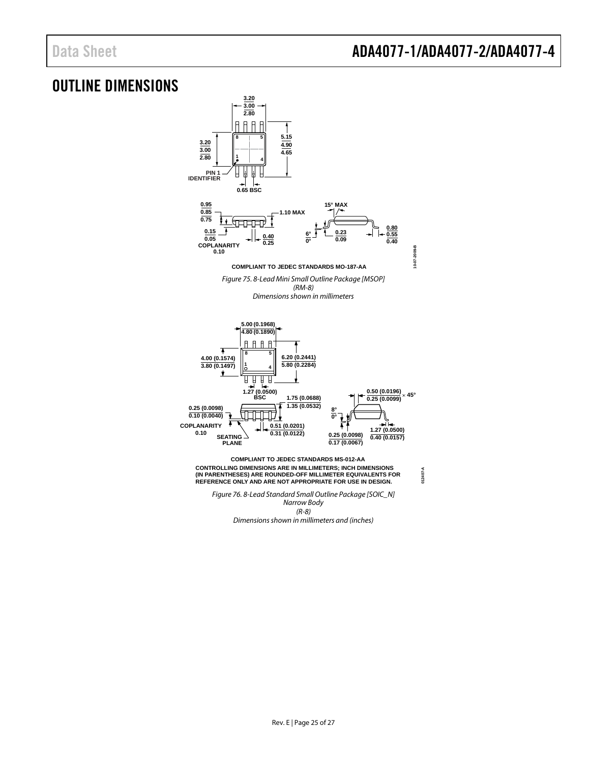**012407-A**

### <span id="page-24-0"></span>OUTLINE DIMENSIONS



*Narrow Body (R-8) Dimensions shown in millimeters and (inches)*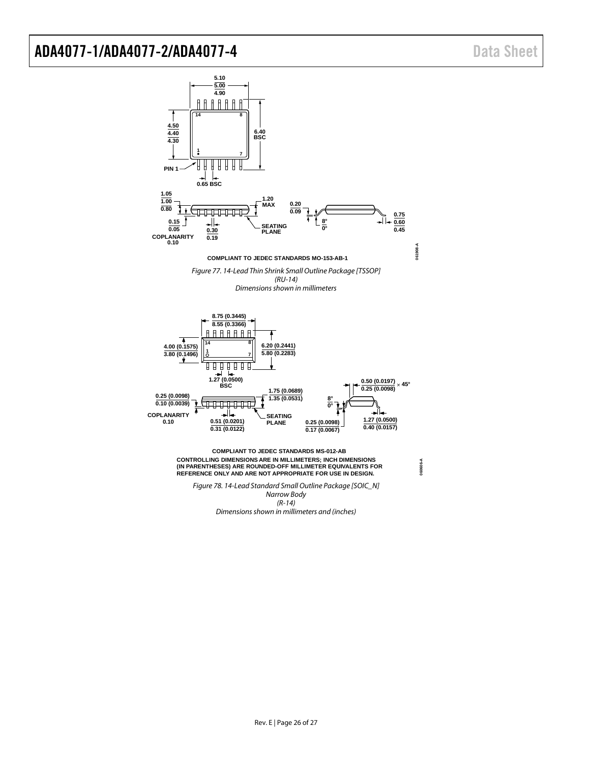

*Dimensions shown in millimeters and (inches)*